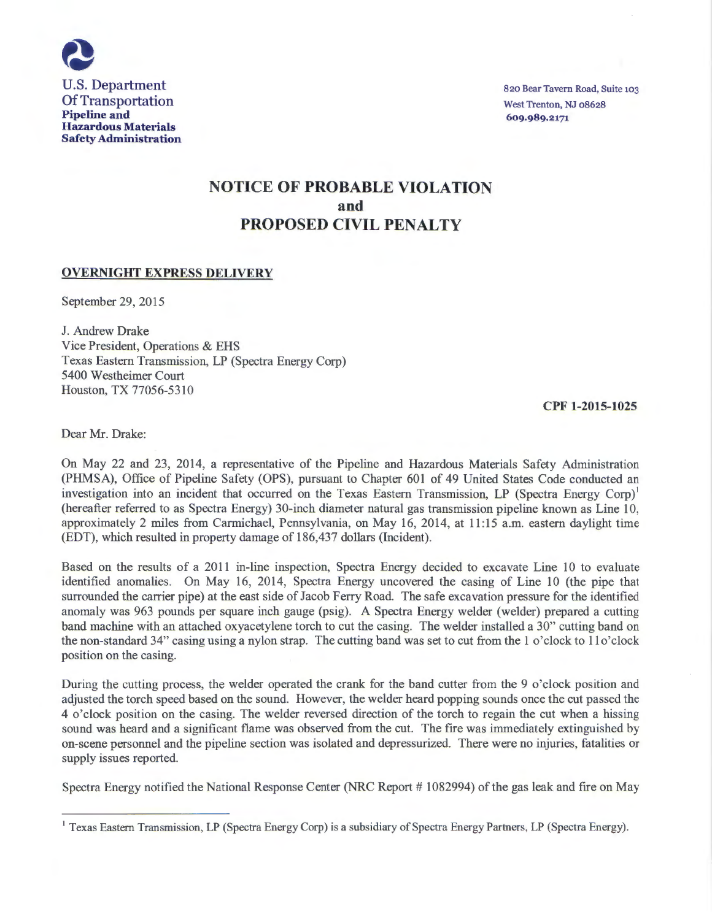

820 Bear Tavern Road, Suite 103 West Trenton, NJ 08628 609.989.2171

# NOTICE OF PROBABLE VIOLATION and PROPOSED CIVIL PENALTY

## OVERNIGHT EXPRESS DELIVERY

September 29, 2015

J. Andrew Drake Vice President, Operations & EHS Texas Eastern Transmission, LP (Spectra Energy Corp) 5400 Westheimer Court Houston, TX 77056-5310

CPF 1-2015-1025

Dear Mr. Drake:

On May 22 and 23, 2014, a representative of the Pipeline and Hazardous Materials Safety Administration (PHMSA), Office of Pipeline Safety (OPS), pursuant to Chapter 601 of 49 United States Code conducted an investigation into an incident that occurred on the Texas Eastern Transmission, LP (Spectra Energy Corp)<sup>1</sup> (hereafter referred to as Spectra Energy) 30-inch diameter natural gas transmission pipeline known as Line 10, approximately 2 miles from Carmichael, Pennsylvania, on May 16, 2014, at 11:15 a.m. eastern daylight time (EDT), which resulted in property damage of 186,437 dollars (Incident).

Based on the results of a 2011 in-line inspection, Spectra Energy decided to excavate Line 10 to evaluate identified anomalies. On May 16, 2014, Spectra Energy uncovered the casing of Line 10 (the pipe that surrounded the carrier pipe) at the east side of Jacob Ferry Road. The safe excavation pressure for the identified anomaly was 963 pounds per square inch gauge (psig). A Spectra Energy welder (welder) prepared a cutting band machine with an attached oxyacetylene torch to cut the casing. The welder installed a 30" cutting band on the non-standard 34" casing using a nylon strap. The cutting band was set to cut from the 1 o'clock to 11o'clock position on the casing.

During the cutting process, the welder operated the crank for the band cutter from the 9 o'clock position and adjusted the torch speed based on the sound. However, the welder heard popping sounds once the cut passed the 4 o'clock position on the casing. The welder reversed direction of the torch to regain the cut when a hissing sound was heard and a significant flame was observed from the cut. The fire was immediately extinguished by on-scene personnel and the pipeline section was isolated and depressurized. There were no injuries, fatalities or supply issues reported.

Spectra Energy notified the National Response Center (NRC Report # 1 082994) of the gas leak and fire on May

<sup>&</sup>lt;sup>1</sup> Texas Eastern Transmission, LP (Spectra Energy Corp) is a subsidiary of Spectra Energy Partners, LP (Spectra Energy).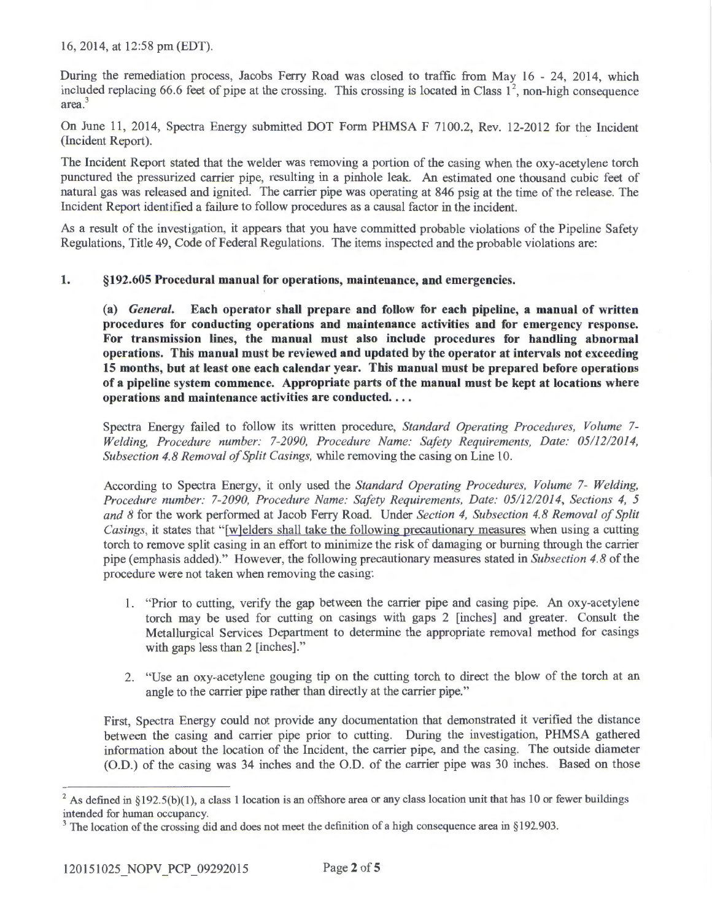16, 2014, at 12:58 pm (EDT).

During the remediation process, Jacobs Ferry Road was closed to traffic from May 16 - 24, 2014, which included replacing 66.6 feet of pipe at the crossing. This crossing is located in Class  $1^2$ , non-high consequence area. 3

On June 11, 2014, Spectra Energy submitted DOT Form PHMSA F 7100.2, Rev. 12-2012 for the Incident (Incident Report).

The Incident Report stated that the welder was removing a portion of the casing when the oxy-acetylene torch punctured the pressurized carrier pipe, resulting in a pinhole leak. An estimated one thousand cubic feet of natural gas was released and ignited. The carrier pipe was operating at 846 psig at the time of the release. The Incident Report identified a failure to follow procedures as a causal factor in the incident.

As a result of the investigation, it appears that you have committed probable violations of the Pipeline Safety Regulations, Title 49, Code of Federal Regulations. The items inspected and the probable violations are:

## **1. §192.605 Procedural manual for operations, maintenance, and emergencies.**

**(a)** *General.* **Each operator shall prepare and follow for each pipeline, a manual of written procedures for conducting operations and maintenance activities and for emergency response. For transmission lines, the manual must also include procedures for handling abnormal operations. This manual must be reviewed and updated by the operator at intervals not exceeding 15 months, but at least one each calendar year. This manual must be prepared before operations of a pipeline system commence. Appropriate parts of the manual must be kept at locations where operations and maintenance activities are conducted....** 

Spectra Energy failed to follow its written procedure, *Standard Operating Procedures, Volume* 7- *Welding, Procedure number: 7-2090, Procedure Name: Safety Requirements, Date: 05/12/2014, Subsection 4.8 Removal of Split Casings,* while removing the casing on Line 10.

According to Spectra Energy, it only used the *Standard Operating Procedures, Volume* 7- *Welding, Procedure number: 7-2090, Procedure Name: Safety Requirements, Date: 0511212014, Sections 4, 5 and 8* for the work performed at Jacob Ferry Road. Under *Section 4, Subsection 4.8 Removal of Split Casings*, it states that "[w]elders shall take the following precautionary measures when using a cutting torch to remove split casing in an effort to minimize the risk of damaging or burning through the carrier pipe (emphasis added)." However, the following precautionary measures stated in *Subsection 4.8* of the procedure were not taken when removing the casing:

- 1. "Prior to cutting, verify the gap between the carrier pipe and casing pipe. An oxy-acetylene torch may be used for cutting on casings with gaps 2 [inches] and greater. Consult the Metallurgical Services Department to determine the appropriate removal method for casings with gaps less than 2 [inches]."
- 2. "Use an oxy-acetylene gouging tip on the cutting torch to direct the blow of the torch at an angle to the carrier pipe rather than directly at the carrier pipe."

First, Spectra Energy could not provide any documentation that demonstrated it verified the distance between the casing and carrier pipe prior to cutting. During the investigation, PHMSA gathered information about the location of the Incident, the carrier pipe, and the casing. The outside diameter (O.D.) of the casing was 34 inches and the O.D. of the carrier pipe was 30 inches. Based on those

<sup>&</sup>lt;sup>2</sup> As defined in §192.5(b)(1), a class 1 location is an offshore area or any class location unit that has 10 or fewer buildings

intended for human occupancy.<br><sup>3</sup> The location of the crossing did and does not meet the definition of a high consequence area in §192.903.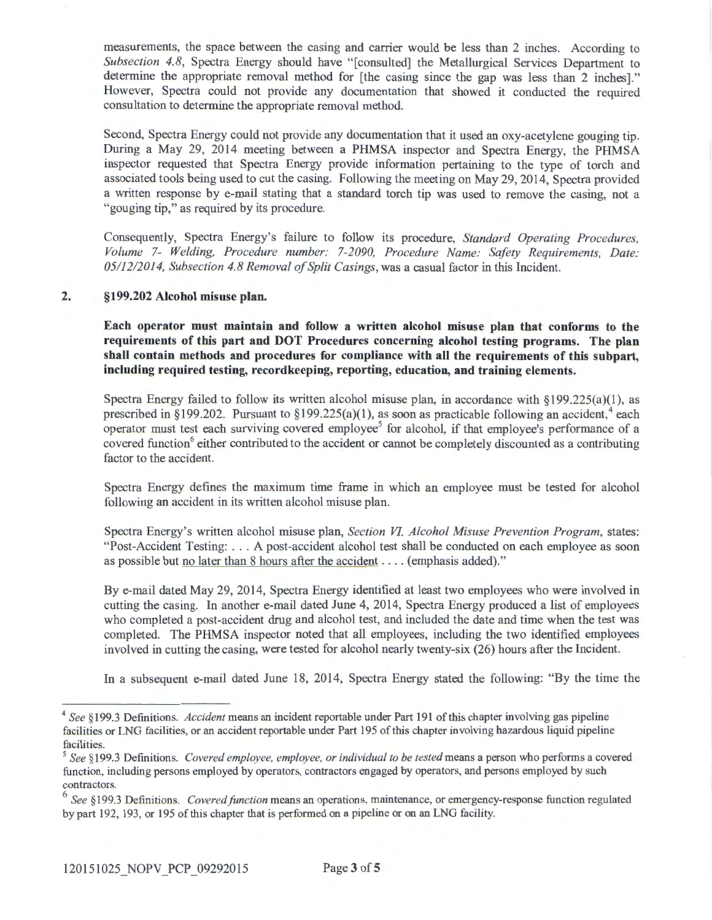measurements, the space between the casing and carrier would be less than 2 inches. According to *Subsection 4.8,* Spectra Energy should have "[consulted] the Metallurgical Services Department to determine the appropriate removal method for [the casing since the gap was less than 2 inches]." However, Spectra could not provide any documentation that showed it conducted the required consultation to determine the appropriate removal method.

Second, Spectra Energy could not provide any documentation that it used an oxy-acetylene gouging tip. During a May 29, 2014 meeting between a PHMSA inspector and Spectra Energy, the PHMSA inspector requested that Spectra Energy provide information pertaining to the type of torch and associated tools being used to cut the casing. Following the meeting on May 29, 2014, Spectra provided a written response by e-mail stating that a standard torch tip was used to remove the casing, not a "gouging tip," as required by its procedure.

Consequently, Spectra Energy's failure to follow its procedure, *Standard Operating Procedures, Volume* 7- *Welding, Procedure number: 7-2090, Procedure Name: Safety Requirements, Date:*  05/12/2014, Subsection 4.8 Removal of Split Casings, was a casual factor in this Incident.

## **2. §199.202 Alcohol misuse plan.**

**Each operator must maintain and follow a written alcohol misuse plan that conforms to the requirements of this part and DOT Procedures concerning alcohol testing programs. The plan shall contain methods and procedures for compliance with all the requirements of this subpart, including required testing, recordkeeping, reporting, education, and training elements.** 

Spectra Energy failed to follow its written alcohol misuse plan, in accordance with  $\S 199.225(a)(1)$ , as prescribed in §199.202. Pursuant to §199.225(a)(1), as soon as practicable following an accident,<sup>4</sup> each operator must test each surviving covered employee<sup>5</sup> for alcohol, if that employee's performance of a covered function<sup>6</sup> either contributed to the accident or cannot be completely discounted as a contributing factor to the accident.

Spectra Energy defines the maximum time frame in which an employee must be tested for alcohol following an accident in its written alcohol misuse plan.

Spectra Energy's written alcohol misuse plan, *Section VI Alcohol Misuse Prevention Program,* states: "Post-Accident Testing: ... A post-accident alcohol test shall be conducted on each employee as soon as possible but <u>no later than 8 hours after the accident</u> .... (emphasis added)."

By e-mail dated May 29, 2014, Spectra Energy identified at least two employees who were involved in cutting the casing. In another e-mail dated June 4, 2014, Spectra Energy produced a list of employees who completed a post-accident drug and alcohol test, and included the date and time when the test was completed. The PHMSA inspector noted that all employees, including the two identified employees involved in cutting the casing, were tested for alcohol nearly twenty-six (26) hours after the Incident.

In a subsequent e-mail dated June 18, 2014, Spectra Energy stated the following: "By the time the

<sup>4</sup>*See§* 199.3 Definitions. *Accident* means an incident reportable under Part 191 of this chapter involving gas pipeline facilities or LNG facilities, or an accident reportable under Part 195 of this chapter involving hazardous liquid pipeline facilities.

<sup>5</sup>*See* § 199.3 Definitions. *Covered employee, employee, or individual to be tested* means a person who performs a covered function, including persons employed by operators, contractors engaged by operators, and persons employed by such contractors.

<sup>6</sup>*See* §199.3 Definitions. *Covered function* means an operations, maintenance, or emergency-response function regulated by part 192, 193, or 195 of this chapter that is performed on a pipeline or on an LNG facility.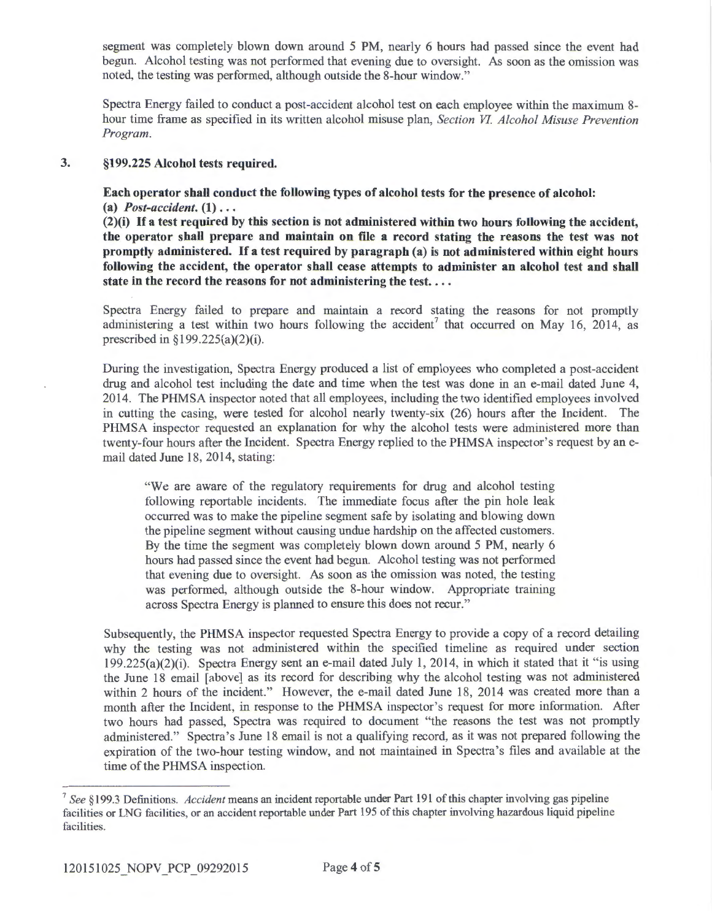segment was completely blown down around 5 PM, nearly 6 hours had passed since the event had begun. Alcohol testing was not performed that evening due to oversight. As soon as the omission was noted, the testing was performed, although outside the 8-hour window."

Spectra Energy failed to conduct a post-accident alcohol test on each employee within the maximum 8 hour time frame as specified in its written alcohol misuse plan, *Section VI. Alcohol Misuse Prevention Program.* 

## **3. §199.225 Alcohol tests required.**

**Each operator shall conduct the following types of alcohol tests for the presence of alcohol: (a)** *Post-accident.* **(1)** ...

**(2)(i) If a test required by this section is not administered within two hours following the accident, the operator shall prepare and maintain on file a record stating the reasons the test was not promptly administered. If a test required by paragraph (a) is not administered within eight hours following the accident, the operator shall cease attempts to administer an alcohol test and shall**  state in the record the reasons for not administering the test....

Spectra Energy failed to prepare and maintain a record stating the reasons for not promptly administering a test within two hours following the accident<sup>7</sup> that occurred on May 16, 2014, as prescribed in§ 199.225(a)(2)(i).

During the investigation, Spectra Energy produced a list of employees who completed a post-accident drug and alcohol test including the date and time when the test was done in an e-mail dated June 4, 2014. The PHMSA inspector noted that all employees, including the two identified employees involved in cutting the casing, were tested for alcohol nearly twenty-six (26) hours after the Incident. The PHMSA inspector requested an explanation for why the alcohol tests were administered more than twenty-four hours after the Incident. Spectra Energy replied to the PHMSA inspector's request by an email dated June 18, 2014, stating:

"We are aware of the regulatory requirements for drug and alcohol testing following reportable incidents. The immediate focus after the pin hole leak occurred was to make the pipeline segment safe by isolating and blowing down the pipeline segment without causing undue hardship on the affected customers. By the time the segment was completely blown down around 5 PM, nearly 6 hours had passed since the event had begun. Alcohol testing was not performed that evening due to oversight. As soon as the omission was noted, the testing was performed, although outside the 8-hour window. Appropriate training across Spectra Energy is planned to ensure this does not recur."

Subsequently, the PHMSA inspector requested Spectra Energy to provide a copy of a record detailing why the testing was not administered within the specified timeline as required under section 199.225(a)(2)(i). Spectra Energy sent an e-mail dated July 1, 2014, in which it stated that it "is using the June 18 email [above] as its record for describing why the alcohol testing was not administered within 2 hours of the incident." However, the e-mail dated June 18, 2014 was created more than a month after the Incident, in response to the PHMSA inspector's request for more information. After two hours had passed, Spectra was required to document "the reasons the test was not promptly administered." Spectra's June 18 email is not a qualifying record, as it was not prepared following the expiration of the two-hour testing window, and not maintained in Spectra's files and available at the time of the PHMSA inspection.

<sup>7</sup>*See* § 199.3 Definitions. *Accident* means an incident reportable under Part 191 of this chapter involving gas pipeline facilities or LNG facilities, or an accident reportable under Part 195 of this chapter involving hazardous liquid pipeline facilities.